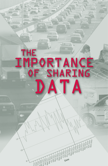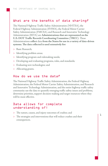# What are the benefits of data sharing?

The National Highway Traffic Safety Administration (NHTSA), the Federal Highway Administration (FHWA), the Federal Motor Carrier Safety Administration (FMCSA), and Research and Innovative Technology Administration (RITA) are **Administrations that are represented on the U.S. DOT Traffic Records Coordinating Committee (TRCC).** These Administrations **collect** data **from the States for use in a variety of data-driven systems. The data collected is used extensively for:**

- > Basic Research;
- > Identifying problem areas;
- > Identifying program and rulemaking needs;
- > Developing and evaluating programs, rules, and standards;
- > Evaluating new technologies; and
- > Allocating grants.

#### How do we use the data?

The National Highway Traffic Safety Administration, the Federal Highway Administration, the Federal Motor Carrier Safety Administration, and Research and Innovative Technology Administration, and the entire highway traffic safety community use the data to quantify emerging traffic safety issues and problems, determine priorities, support decision-making and target resources where they will be most effective.

#### Data allows for complete understanding of:

- > The nature, causes, and injury outcomes of crashes; and
- > The strategies and interventions that will reduce crashes and their consequences.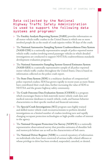## Data collected by the National Highway Traffic Safety Administration is used to support the following data systems and programs:

- > The **Fatality Analysis Reporting System (FARS)** provides information on all motor vehicle traffic crashes in the United States in which one or more involved people die as the result of crash injuries within 30 days of the crash.
- > The **National Automotive Sampling System Crashworthiness Data System (NASS CDS)** is a nationally representative sample of police-reported motor vehicle traffic crashes involving towed passenger vehicles in which detailed investigations are conducted to support NHTSA's crashworthiness standards development evaluation programs.
- > The **National Automotive Sampling System General Estimates System (NASS GES)** is a nationally representative sample of all police-reported motor vehicle traffic crashes throughout the United States. Data is based on information collected on the police crash report.
- > The **State Data System (SDS)** is a multiyear database of computerized police-reported crashes. SDS has grown rapidly in recent years as more States have contributed their crash data, further increasing the value of SDS to NHTSA and the greater highway safety community.
- > The **Crash Outcome Data Evaluation System (CODES)** is a program which encourages States to link statewide motor vehicle crash data and medical outcome databases to match vehicle, crash, and human behavior characteristics to their specific medical and financial outcomes.
- > The **Special Crash Investigations (SCI)** program uses highly trained and skilled motor vehicle crash reconstructionists to perform detailed investigations on a limited number of crashes involving new and rapidly changing occupant protection technologies or high-profile crashes of interest to the agency.
- > The **National Occupant Protection Use Survey (NOPUS)** is a nationally representative observational survey that provides estimates of shoulder belt and motorcycle helmet use as well as the characteristics of belt users.
- > The **National Driver Register (NDR)** is a central repository of information on individuals who have been convicted of serious traffic related offenses or whose privilege to drive has been revoked, suspended, canceled, or denied.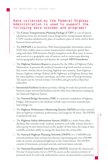## Data collected by the Federal Highway Administration is used to support the following data systems and programs:

- > The **Census Transportation Planning Package (CTPP)** is a set of special tabulations from the decennial census designed for transportation planners. CTPP contains tabulations by place of residence; place of work, and for flows between home and work.
- > The **HEPGIS** is an interactive, Web-based geographic information system (GIS) that enables users to access transportation-related geo-spatial data using only their Web browsers. Simple [navigation tools](http://hepgis.fhwa.dot.gov/hepgis_v2/NavigationTools.aspx) allow users to locate and zoom in to a geographic area of interest, and to create maps showing various geographic features and themes, for example **MPO boundaries.**
- > The **Highway Statistics Report** is prepared by the Office of Highway Policy Information. It presents the analyzed statistics of general interest on motor fuel, motor vehicles, driver licensing, highway-user taxation, State highway finance, highway mileage, Federal aid for highways, and highway finance data for municipalities, counties, townships, and other units of local government. The report can be viewed at [http://www.fhwa.dot.gov/policy/ohpi/hss/](http://www.fhwa.dot.gov/policy/ohpi/hss/index.htm) [index.htm](http://www.fhwa.dot.gov/policy/ohpi/hss/index.htm)
- > **Intermodal Facilities** database provides a listing of roads that provide access between major intermodal facilities and the other four subsystems making up the National Highway System.
- > The **National Bridge Inventory (NBI)** is a national compilation of highway bridges. Information in the database include: type structure, material type, load ratings, etc.
- > The **Highway Performance Monitoring System (HPMS)** provides essential data on highway conditions, performance, and usage for all states. The HPMS is updated each year.
- > The **Highway Safety Information System (HSIS)** is a multi-State safety database that contains crash, roadway inventory, and traffic volume data for a select group of nine States based on the quality of their data, the range of data available, and their ability to merge the data from the various files.
- > The **National Highway Planning Network (NHPN)** is a 1:100,000 scale network database that contains line features representing just over 450,000 miles of current and planned highways in the United States. The NHPN consists of interstates, principal arterials, and rural minor arterials.
- > The **National Household Travel Survey (NHTS)**, formerly the *Nationwide Personal Transportation Survey* (NPTS), serves as the nation's inventory of personal travel. It is the only authoritative source of national data on personal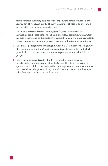travel behavior including purpose of the trip, means of transportation, trip length, day of week and month of the year, number of people on trip, and a host of other trip-making characteristics.

- > The **Road Weather Information System (RWIS)** is comprised of Environmental Sensor Stations (ESS) in the field, a communication system for data transfer, and central systems to collect field data from numerous ESS. These stations measure atmospheric, pavement and water level conditions.
- > The **Strategic Highway Network (STRAHNET)** is a network of highways that are important to the United States' strategic defense policy and which provide defense access, continuity, and emergency capabilities for defense purposes.
- > The **Traffic Volume Trends (TVT)** is a monthly report based on hourly traffic count data reported by the States. This data is collected at approximately 4,000 continuous traffic counting locations nationwide and is used to estimate the percent change in traffic for the current month compared with the same month in the previous year.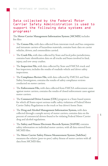# Data collected by the Federal Motor Carrier Safety Administration is used to support the following data systems and programs:

The **Motor Carrier Management Information System (MCMIS)** includes five files:

- > The **Census File,** with data collected from interstate truck and bus companies and intrastate carriers of hazardous materials, contains basic data on carrier vehicles, drivers, and commodities carried.
- > The **Crash File,** with data collected by State and local police jurisdictions, contains basic identification data on all trucks and buses involved in fatal, injury, and tow-away crashes.
- > The **Inspection File,** with data collected by State and FMCSA truck and bus inspectors, includes the results of roadside vehicle and driver safety inspections.
- > The **Compliance Review File,** with data collected by FMCSA and State Safety Investigators, contains the results of safety compliance reviews conducted on motor carriers.
- > The **Enforcement File,** with data collected from FMCSA enforcement cases against motor carriers, contains the results of closed enforcement cases against motor carriers.
- > The **Commercial Driver License (CDL)** program is a State-based system for which all States report serious traffic safety violations of Federal Motor Carrier Safety Regulations to the truck or bus driver's home State.
- > The **Drug and Alcohol Management Information System,** with data collected through a sample survey of motor carriers, contains data on the percent of commercial drivers found to be violating Federal Motor Carrier drug and alcohol regulations.
- > The **Safety and Fitness Electronic Records System (SAFER)** contains safety information on individual motor carriers, with all data entered from MCMIS files.
- > The **Motor Carrier Safety Fitness Measurement System (SafeStat)**  measures the relative (peer-to-peer) safety fitness of motor carriers with all data from MCMIS files.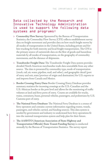## Data collected by the Research and Innovative Technology Administration is used to support the following data systems and programs:

- > **Commodity Flow Survey:** Sponsored by the Bureau of Transportation Statistics, the Commodity Flow Survey (CFS) collects establishment survey data on freight movement and provides data on how much freight moves by all modes of transportation in the United States, including private and forhire trucking for both intercity and local freight transportation. The CFS is the primary source of nationwide data on the flow of goods and hazardous materials by all modes of transportation, on the geography of commodity movements, and the distance of shipments.
- > **Transborder Freight Data:** The Transborder Freight Data system provides detailed North American merchandise trade data unavailable from any other source. The data is presented by commodity type, mode of transportation (truck, rail, air, water, pipeline, mail, and other), and geographic detail (port of entry and exit, state/province of origin and destination) for U.S. exports to and imports from Canada and Mexico.
- > **Border Crossing/Entry Data:** Border Crossing/Entry Database provides summary statistics for incoming crossings at the U.S.-Canadian and the U.S.-Mexican border at the port level and allows for the monitoring of traffic volumes at land and ferry ports of entry. Counts are available for trucks, trains, containers, buses, personal vehicles, passengers, and pedestrians by U.S. Customs port of entry.
- > **The National Ferry Database:** The National Ferry Database is a census of ferry operators and contains current information regarding routes, vessels, passengers, and vehicles carried, and funding sources. This data system is needed by government and industry to understand how ferry operations fit into the national transportation system and help plan for their future.
- > **The AASHTO (American Association of State Highway and Transportation Officials) State Transit Funding Survey** is conducted annually by the Bureau of Transportation Statistics. The survey report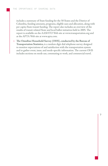includes a summary of State funding for the 50 States and the District of Columbia, funding amounts, programs, eligible uses and allocation, along with per capita State transit funding. The report also includes an overview of the results of transit-related State and local ballot initiatives held in 2005. The report is available on the AASHTO Web site at [www.transportation.org](http://www.transportation.org) and at the APTA Web site at [www.apta.com.](http://www.apta.com)

> **The Omnibus Household Survey (OHS), conducted by the Bureau of Transportation Statistics,** is a random digit dial telephone survey designed to monitor expectations of and satisfaction with the transportation system and to gather event, issue, and mode-specific information. The current OHS includes sections on mode use, commuting to work, and commercial travel.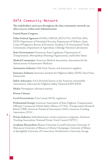# DATA Community Network

**The stakeholders and users throughout the data community network can often reoccur within each Administration** 

**United States Congress**

**Other Federal Agencies:** FHWA, FMCSA, RITA FTA, NHTSA, EPA, DOD, Department of Homeland Security, Department of Defense, Army Corps of Engineers, Bureau of Economic Analysis, U.S. International Trade Commission, Department of Agriculture, Oakridge National Laboratories

**State Governments:** Governors, State Legislators, Departments of Transportation, Metropolitan Planning Organizations, and border States

**Medical Community:** American Medical Association, Association for the Advancement of Automotive Medicine

**Automotive Industry:** GM, Ford, Toyota, and automotive suppliers

**Insurance Industry:** Insurance Institute for Highway Safety (IIHS), State Farm, Nationwide

**Safety Advocates:** AAA (formerly known as the American Automobile Association), Advocates for Highway Safety, National SAFE KIDS

**Media:** Newspapers, television stations

**Private Citizens**

**Local Governments** (City/county DOTs, engineers)

**Professional Groups:** American Association of State Highway Transportation Officials, Commercial Vehicle Safety Alliance (CVSA), Transportation Research Board (TRB), American Statistical Association (ASA), American Trucking Association (ATA)

**Private Industry:** Individual motor carriers, insurance companies, American Trucking Association, National Private Truck Council (NPTC)

**Academic Researchers:** Boston University, Cornell University, University of Minnesota University of Illinois at Urbana-Champaign, University of Illinois at Springfield, University of Connecticut, Northwestern University, George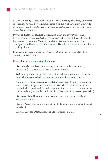Mason University, Texas Southern University, University at Albany, University of Virginia, Virginia Polytechnic Institute, University of Wyoming, University of Southern California, University of Tennessee, University of Texas at Austin, Texas A&M, libraries

**Private Industry/Consulting Companies:** Ferry Industry Professionals, Martin Labbe Associates, Reebie Associates, Global Insight, Inc., PB Consult, Cambridge Systematics, Maritime Analytics, Wilbur Smith, American Transportation Research Institute, NuStats, Battelle, Reynolds Smith and Hills, The Tioga Group

**International Partners:** Canada, Australia, Great Britain, Japan, Sweden, Taiwan, United Nations

#### **Data collected is a source for obtaining:**

**Real world crash data:** Fatalities, injuries, causation factors (primary prevention), cccupant protection (crashworthiness)

**Safety programs:** The primary source for both domestic and international research on motor vehicle crashes and motor vehicle manufacturers

**Commercial motor carrier safety data:** Carriers crash data/ statistics, truck and bus safety inspections, commercial drivers both truck and bus which would include crash and Federal safety violations; commercial motor carrier industry data, (i.e., number and size of carriers, type of carriers/cargo carried)

**Roadway Data:** Road miles, intersections, pavement quality, bridges/ overpasses/tunnels

**Travel Data:** Vehicle miles traveled (VMT) and average annual daily travel (AADT)

**Drivers' License Data:** Motor Vehicle Registration Data